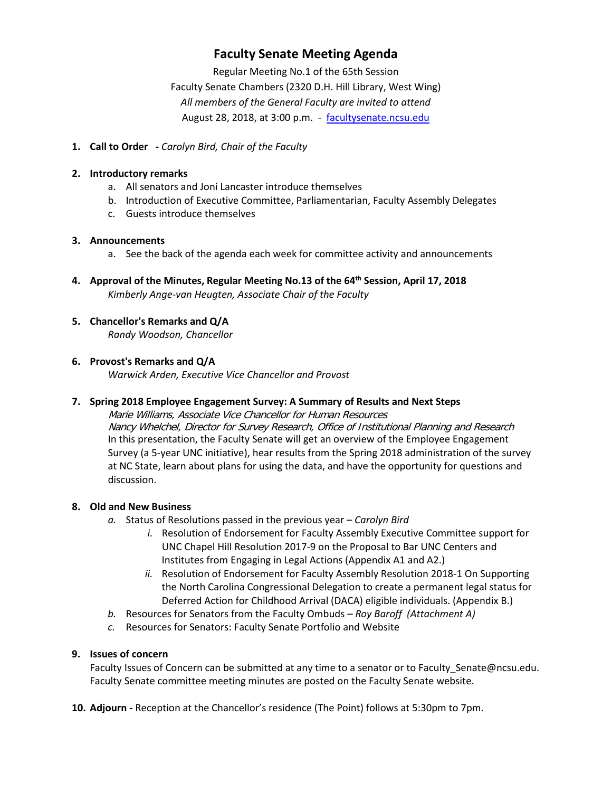# **Faculty Senate Meeting Agenda**

Regular Meeting No.1 of the 65th Session Faculty Senate Chambers (2320 D.H. Hill Library, West Wing) *All members of the General Faculty are invited to attend* August 28, 2018, at 3:00 p.m. - [facultysenate.ncsu.edu](https://facultysenate.ncsu.edu/)

#### **1. Call to Order -** *Carolyn Bird, Chair of the Faculty*

#### **2. Introductory remarks**

- a. All senators and Joni Lancaster introduce themselves
- b. Introduction of Executive Committee, Parliamentarian, Faculty Assembly Delegates
- c. Guests introduce themselves

#### **3. Announcements**

- a. See the back of the agenda each week for committee activity and announcements
- **4. Approval of the Minutes, Regular Meeting No.13 of the 64th Session, April 17, 2018** *Kimberly Ange-van Heugten, Associate Chair of the Faculty*

# **5. Chancellor's Remarks and Q/A**

*Randy Woodson, Chancellor*

## **6. Provost's Remarks and Q/A**

*Warwick Arden, Executive Vice Chancellor and Provost*

## **7. Spring 2018 Employee Engagement Survey: A Summary of Results and Next Steps**

Marie Williams, Associate Vice Chancellor for Human Resources Nancy Whelchel, Director for Survey Research, Office of Institutional Planning and Research In this presentation, the Faculty Senate will get an overview of the Employee Engagement Survey (a 5-year UNC initiative), hear results from the Spring 2018 administration of the survey at NC State, learn about plans for using the data, and have the opportunity for questions and discussion.

## **8. Old and New Business**

- *a.* Status of Resolutions passed in the previous year *Carolyn Bird*
	- *i.* Resolution of Endorsement for Faculty Assembly Executive Committee support for UNC Chapel Hill Resolution 2017-9 on the Proposal to Bar UNC Centers and Institutes from Engaging in Legal Actions (Appendix A1 and A2.)
	- *ii.* Resolution of Endorsement for Faculty Assembly Resolution 2018-1 On Supporting the North Carolina Congressional Delegation to create a permanent legal status for Deferred Action for Childhood Arrival (DACA) eligible individuals. (Appendix B.)
- *b.* Resources for Senators from the Faculty Ombuds *Roy Baroff (Attachment A)*
- *c.* Resources for Senators: Faculty Senate Portfolio and Website

#### **9. Issues of concern**

Faculty Issues of Concern can be submitted at any time to a senator or to Faculty Senate@ncsu.edu. Faculty Senate committee meeting minutes are posted on the Faculty Senate website.

**10. Adjourn -** Reception at the Chancellor's residence (The Point) follows at 5:30pm to 7pm.